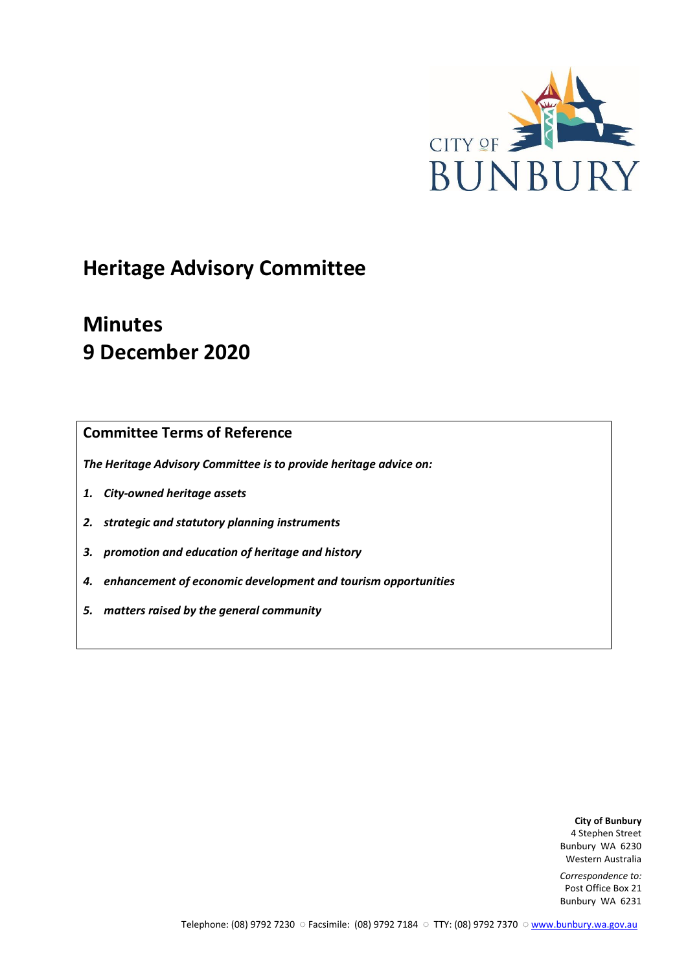

# **Heritage Advisory Committee**

# **Minutes 9 December 2020**

## **Committee Terms of Reference**

*The Heritage Advisory Committee is to provide heritage advice on:*

- *1. City-owned heritage assets*
- *2. strategic and statutory planning instruments*
- *3. promotion and education of heritage and history*
- *4. enhancement of economic development and tourism opportunities*
- *5. matters raised by the general community*

**City of Bunbury** 4 Stephen Street Bunbury WA 6230 Western Australia

*Correspondence to:* Post Office Box 21 Bunbury WA 6231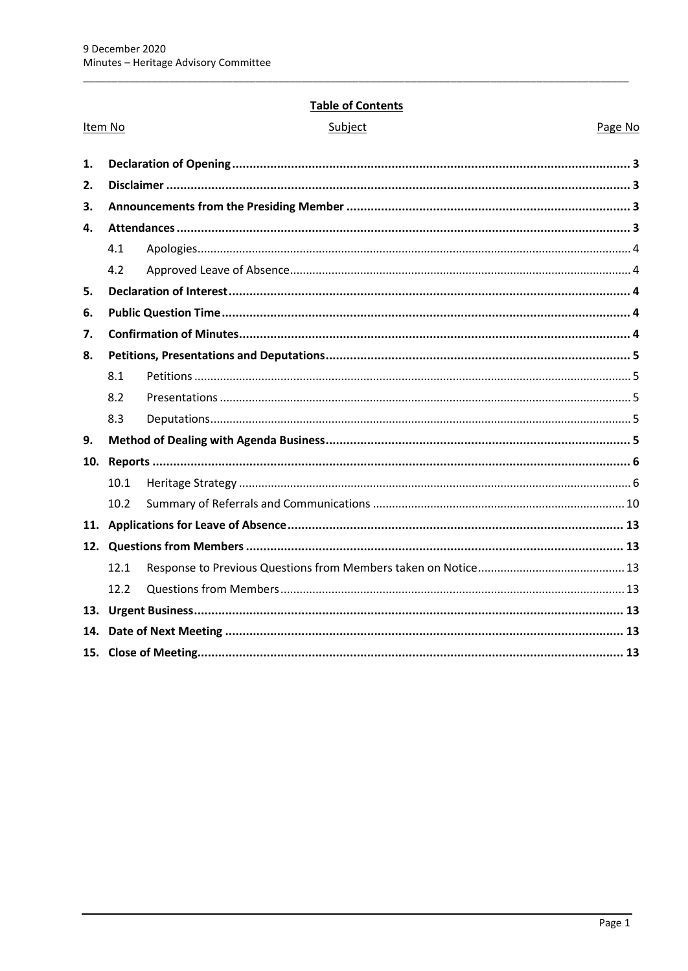## **Table of Contents**

|    | Item No | Subject | Page No |  |
|----|---------|---------|---------|--|
| 1. |         |         |         |  |
| 2. |         |         |         |  |
| 3. |         |         |         |  |
| 4. |         |         |         |  |
|    | 4.1     |         |         |  |
|    | 4.2     |         |         |  |
| 5. |         |         |         |  |
| 6. |         |         |         |  |
| 7. |         |         |         |  |
| 8. |         |         |         |  |
|    | 8.1     |         |         |  |
|    | 8.2     |         |         |  |
|    | 8.3     |         |         |  |
| 9. |         |         |         |  |
|    |         |         |         |  |
|    | 10.1    |         |         |  |
|    | 10.2    |         |         |  |
|    |         |         |         |  |
|    |         |         |         |  |
|    | 12.1    |         |         |  |
|    | 12.2    |         |         |  |
|    |         |         |         |  |
|    |         |         |         |  |
|    |         |         |         |  |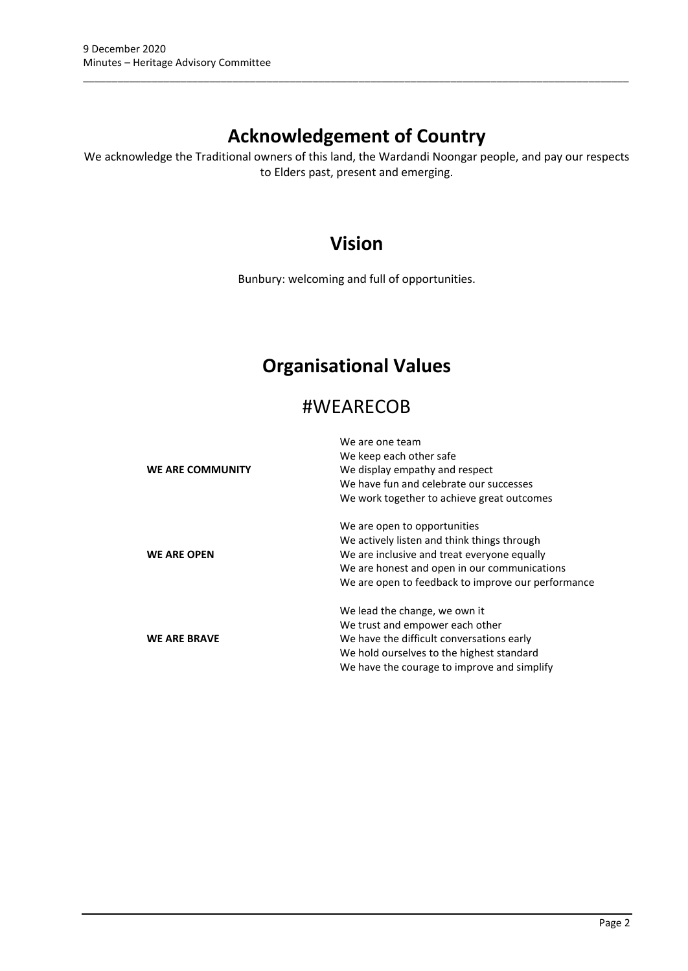# **Acknowledgement of Country**

\_\_\_\_\_\_\_\_\_\_\_\_\_\_\_\_\_\_\_\_\_\_\_\_\_\_\_\_\_\_\_\_\_\_\_\_\_\_\_\_\_\_\_\_\_\_\_\_\_\_\_\_\_\_\_\_\_\_\_\_\_\_\_\_\_\_\_\_\_\_\_\_\_\_\_\_\_\_\_\_\_\_\_\_\_\_\_\_\_\_\_\_\_\_\_

We acknowledge the Traditional owners of this land, the Wardandi Noongar people, and pay our respects to Elders past, present and emerging.

## **Vision**

Bunbury: welcoming and full of opportunities.

## **Organisational Values**

## #WEARECOB

|                     | We are one team                                    |
|---------------------|----------------------------------------------------|
|                     | We keep each other safe                            |
| WE ARE COMMUNITY    | We display empathy and respect                     |
|                     | We have fun and celebrate our successes            |
|                     | We work together to achieve great outcomes         |
|                     | We are open to opportunities                       |
|                     | We actively listen and think things through        |
| <b>WE ARE OPEN</b>  | We are inclusive and treat everyone equally        |
|                     | We are honest and open in our communications       |
|                     | We are open to feedback to improve our performance |
|                     | We lead the change, we own it                      |
|                     | We trust and empower each other                    |
| <b>WE ARE BRAVE</b> | We have the difficult conversations early          |
|                     | We hold ourselves to the highest standard          |
|                     | We have the courage to improve and simplify        |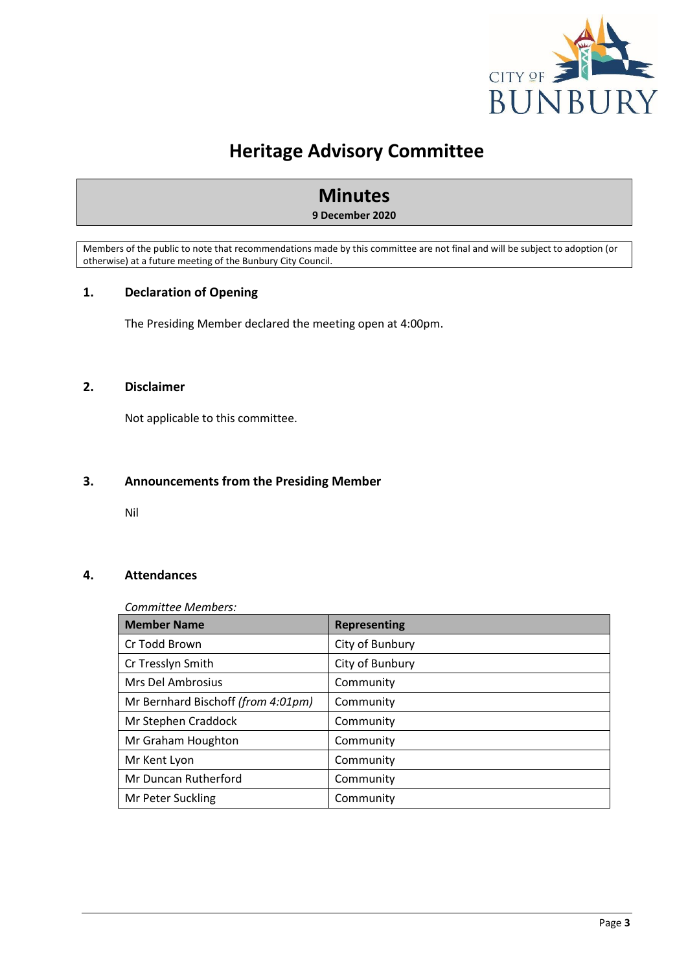

## **Heritage Advisory Committee**

## **Minutes**

#### **9 December 2020**

Members of the public to note that recommendations made by this committee are not final and will be subject to adoption (or otherwise) at a future meeting of the Bunbury City Council.

## <span id="page-3-0"></span>**1. Declaration of Opening**

The Presiding Member declared the meeting open at 4:00pm.

#### <span id="page-3-1"></span>**2. Disclaimer**

Not applicable to this committee.

#### <span id="page-3-2"></span>**3. Announcements from the Presiding Member**

Nil

## <span id="page-3-3"></span>**4. Attendances**

#### *Committee Members:*

| <b>Member Name</b>                 | <b>Representing</b> |
|------------------------------------|---------------------|
| Cr Todd Brown                      | City of Bunbury     |
| Cr Tresslyn Smith                  | City of Bunbury     |
| Mrs Del Ambrosius                  | Community           |
| Mr Bernhard Bischoff (from 4:01pm) | Community           |
| Mr Stephen Craddock                | Community           |
| Mr Graham Houghton                 | Community           |
| Mr Kent Lyon                       | Community           |
| Mr Duncan Rutherford               | Community           |
| Mr Peter Suckling                  | Community           |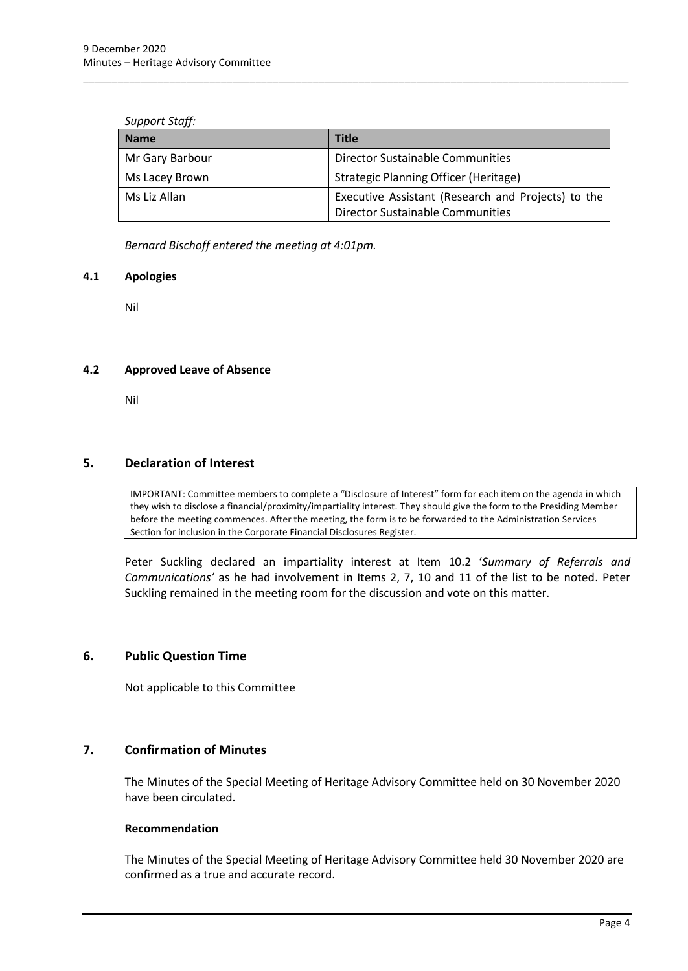#### *Support Staff:*

| <b>Name</b>     | <b>Title</b>                                                                           |
|-----------------|----------------------------------------------------------------------------------------|
| Mr Gary Barbour | Director Sustainable Communities                                                       |
| Ms Lacey Brown  | Strategic Planning Officer (Heritage)                                                  |
| Ms Liz Allan    | Executive Assistant (Research and Projects) to the<br>Director Sustainable Communities |

\_\_\_\_\_\_\_\_\_\_\_\_\_\_\_\_\_\_\_\_\_\_\_\_\_\_\_\_\_\_\_\_\_\_\_\_\_\_\_\_\_\_\_\_\_\_\_\_\_\_\_\_\_\_\_\_\_\_\_\_\_\_\_\_\_\_\_\_\_\_\_\_\_\_\_\_\_\_\_\_\_\_\_\_\_\_\_\_\_\_\_\_\_\_\_

*Bernard Bischoff entered the meeting at 4:01pm.*

#### <span id="page-4-0"></span>**4.1 Apologies**

Nil

## <span id="page-4-1"></span>**4.2 Approved Leave of Absence**

Nil

## <span id="page-4-2"></span>**5. Declaration of Interest**

IMPORTANT: Committee members to complete a "Disclosure of Interest" form for each item on the agenda in which they wish to disclose a financial/proximity/impartiality interest. They should give the form to the Presiding Member before the meeting commences. After the meeting, the form is to be forwarded to the Administration Services Section for inclusion in the Corporate Financial Disclosures Register.

Peter Suckling declared an impartiality interest at Item 10.2 '*Summary of Referrals and Communications'* as he had involvement in Items 2, 7, 10 and 11 of the list to be noted. Peter Suckling remained in the meeting room for the discussion and vote on this matter.

## <span id="page-4-3"></span>**6. Public Question Time**

Not applicable to this Committee

## <span id="page-4-4"></span>**7. Confirmation of Minutes**

The Minutes of the Special Meeting of Heritage Advisory Committee held on 30 November 2020 have been circulated.

#### **Recommendation**

The Minutes of the Special Meeting of Heritage Advisory Committee held 30 November 2020 are confirmed as a true and accurate record.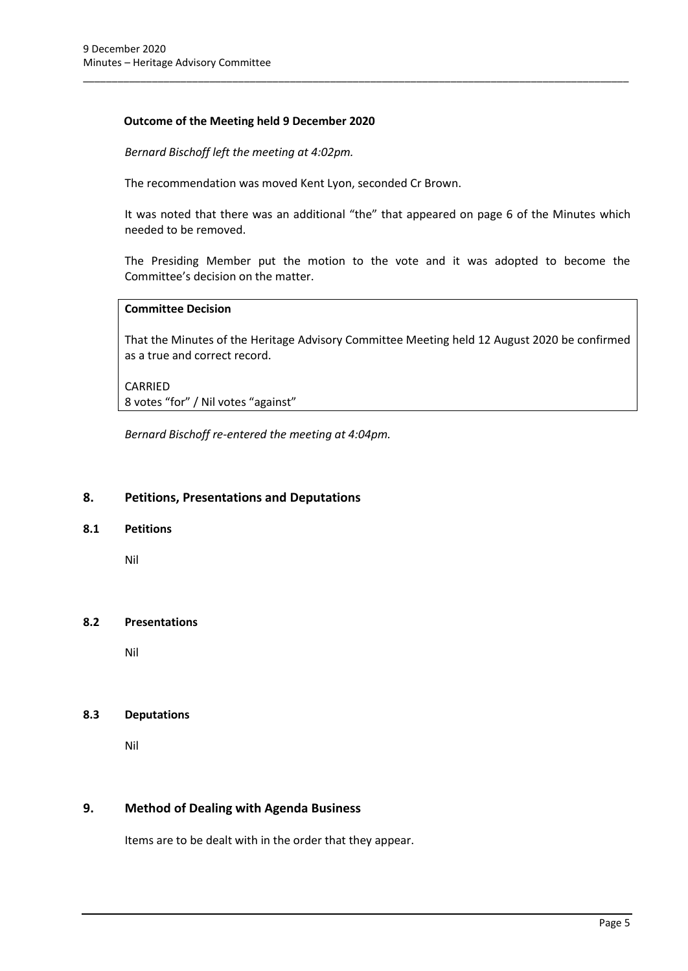#### **Outcome of the Meeting held 9 December 2020**

*Bernard Bischoff left the meeting at 4:02pm.*

The recommendation was moved Kent Lyon, seconded Cr Brown.

It was noted that there was an additional "the" that appeared on page 6 of the Minutes which needed to be removed.

\_\_\_\_\_\_\_\_\_\_\_\_\_\_\_\_\_\_\_\_\_\_\_\_\_\_\_\_\_\_\_\_\_\_\_\_\_\_\_\_\_\_\_\_\_\_\_\_\_\_\_\_\_\_\_\_\_\_\_\_\_\_\_\_\_\_\_\_\_\_\_\_\_\_\_\_\_\_\_\_\_\_\_\_\_\_\_\_\_\_\_\_\_\_\_

The Presiding Member put the motion to the vote and it was adopted to become the Committee's decision on the matter.

#### **Committee Decision**

That the Minutes of the Heritage Advisory Committee Meeting held 12 August 2020 be confirmed as a true and correct record.

CARRIED 8 votes "for" / Nil votes "against"

*Bernard Bischoff re-entered the meeting at 4:04pm.*

#### <span id="page-5-0"></span>**8. Petitions, Presentations and Deputations**

#### <span id="page-5-1"></span>**8.1 Petitions**

Nil

#### <span id="page-5-2"></span>**8.2 Presentations**

Nil

#### <span id="page-5-3"></span>**8.3 Deputations**

Nil

#### <span id="page-5-4"></span>**9. Method of Dealing with Agenda Business**

Items are to be dealt with in the order that they appear.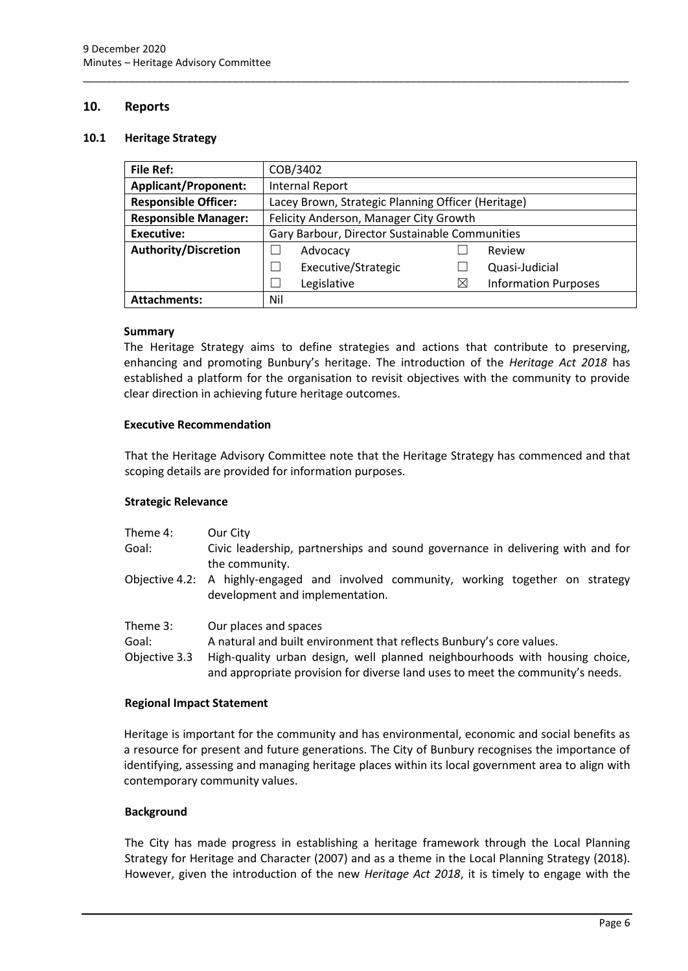#### <span id="page-6-0"></span>**10. Reports**

#### <span id="page-6-1"></span>**10.1 Heritage Strategy**

| <b>File Ref:</b>                                                                  | COB/3402                                       |          |                             |
|-----------------------------------------------------------------------------------|------------------------------------------------|----------|-----------------------------|
| <b>Applicant/Proponent:</b>                                                       | <b>Internal Report</b>                         |          |                             |
| <b>Responsible Officer:</b><br>Lacey Brown, Strategic Planning Officer (Heritage) |                                                |          |                             |
| <b>Responsible Manager:</b>                                                       | Felicity Anderson, Manager City Growth         |          |                             |
| <b>Executive:</b>                                                                 | Gary Barbour, Director Sustainable Communities |          |                             |
| <b>Authority/Discretion</b>                                                       | Advocacy                                       |          | Review                      |
|                                                                                   | Executive/Strategic                            |          | Quasi-Judicial              |
|                                                                                   | Legislative                                    | $\times$ | <b>Information Purposes</b> |
| <b>Attachments:</b>                                                               | Nil                                            |          |                             |

\_\_\_\_\_\_\_\_\_\_\_\_\_\_\_\_\_\_\_\_\_\_\_\_\_\_\_\_\_\_\_\_\_\_\_\_\_\_\_\_\_\_\_\_\_\_\_\_\_\_\_\_\_\_\_\_\_\_\_\_\_\_\_\_\_\_\_\_\_\_\_\_\_\_\_\_\_\_\_\_\_\_\_\_\_\_\_\_\_\_\_\_\_\_\_

#### **Summary**

The Heritage Strategy aims to define strategies and actions that contribute to preserving, enhancing and promoting Bunbury's heritage. The introduction of the *Heritage Act 2018* has established a platform for the organisation to revisit objectives with the community to provide clear direction in achieving future heritage outcomes.

#### **Executive Recommendation**

That the Heritage Advisory Committee note that the Heritage Strategy has commenced and that scoping details are provided for information purposes.

#### **Strategic Relevance**

| Theme 4: | Our City                                                                                                         |
|----------|------------------------------------------------------------------------------------------------------------------|
| Goal:    | Civic leadership, partnerships and sound governance in delivering with and for<br>the community.                 |
|          |                                                                                                                  |
|          | $\Delta$ Objective $\Delta$ $\gamma$ $\Delta$ highly-engaged and involved community working together on strategy |

- Objective 4.2: A highly-engaged and involved community, working together on strategy development and implementation.
- Theme 3: Our places and spaces
- Goal: A natural and built environment that reflects Bunbury's core values.
- Objective 3.3 High-quality urban design, well planned neighbourhoods with housing choice, and appropriate provision for diverse land uses to meet the community's needs.

#### **Regional Impact Statement**

Heritage is important for the community and has environmental, economic and social benefits as a resource for present and future generations. The City of Bunbury recognises the importance of identifying, assessing and managing heritage places within its local government area to align with contemporary community values.

#### **Background**

The City has made progress in establishing a heritage framework through the Local Planning Strategy for Heritage and Character (2007) and as a theme in the Local Planning Strategy (2018). However, given the introduction of the new *Heritage Act 2018*, it is timely to engage with the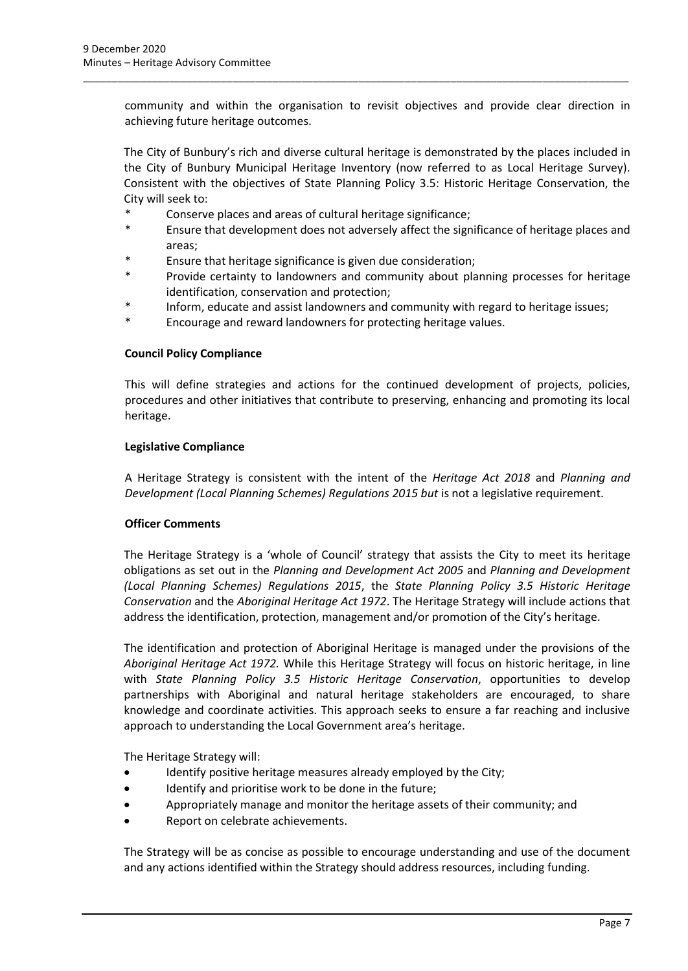community and within the organisation to revisit objectives and provide clear direction in achieving future heritage outcomes.

\_\_\_\_\_\_\_\_\_\_\_\_\_\_\_\_\_\_\_\_\_\_\_\_\_\_\_\_\_\_\_\_\_\_\_\_\_\_\_\_\_\_\_\_\_\_\_\_\_\_\_\_\_\_\_\_\_\_\_\_\_\_\_\_\_\_\_\_\_\_\_\_\_\_\_\_\_\_\_\_\_\_\_\_\_\_\_\_\_\_\_\_\_\_\_

The City of Bunbury's rich and diverse cultural heritage is demonstrated by the places included in the City of Bunbury Municipal Heritage Inventory (now referred to as Local Heritage Survey). Consistent with the objectives of State Planning Policy 3.5: Historic Heritage Conservation, the City will seek to:

- Conserve places and areas of cultural heritage significance;
- Ensure that development does not adversely affect the significance of heritage places and areas;
- \* Ensure that heritage significance is given due consideration;
- \* Provide certainty to landowners and community about planning processes for heritage identification, conservation and protection;
- Inform, educate and assist landowners and community with regard to heritage issues;
- Encourage and reward landowners for protecting heritage values.

#### **Council Policy Compliance**

This will define strategies and actions for the continued development of projects, policies, procedures and other initiatives that contribute to preserving, enhancing and promoting its local heritage.

#### **Legislative Compliance**

A Heritage Strategy is consistent with the intent of the *Heritage Act 2018* and *Planning and Development (Local Planning Schemes) Regulations 2015 but* is not a legislative requirement.

#### **Officer Comments**

The Heritage Strategy is a 'whole of Council' strategy that assists the City to meet its heritage obligations as set out in the *Planning and Development Act 2005* and *Planning and Development (Local Planning Schemes) Regulations 2015*, the *State Planning Policy 3.5 Historic Heritage Conservation* and the *Aboriginal Heritage Act 1972*. The Heritage Strategy will include actions that address the identification, protection, management and/or promotion of the City's heritage.

The identification and protection of Aboriginal Heritage is managed under the provisions of the *Aboriginal Heritage Act 1972.* While this Heritage Strategy will focus on historic heritage, in line with *State Planning Policy 3.5 Historic Heritage Conservation*, opportunities to develop partnerships with Aboriginal and natural heritage stakeholders are encouraged, to share knowledge and coordinate activities. This approach seeks to ensure a far reaching and inclusive approach to understanding the Local Government area's heritage.

The Heritage Strategy will:

- Identify positive heritage measures already employed by the City;
- Identify and prioritise work to be done in the future;
- Appropriately manage and monitor the heritage assets of their community; and
- Report on celebrate achievements.

The Strategy will be as concise as possible to encourage understanding and use of the document and any actions identified within the Strategy should address resources, including funding.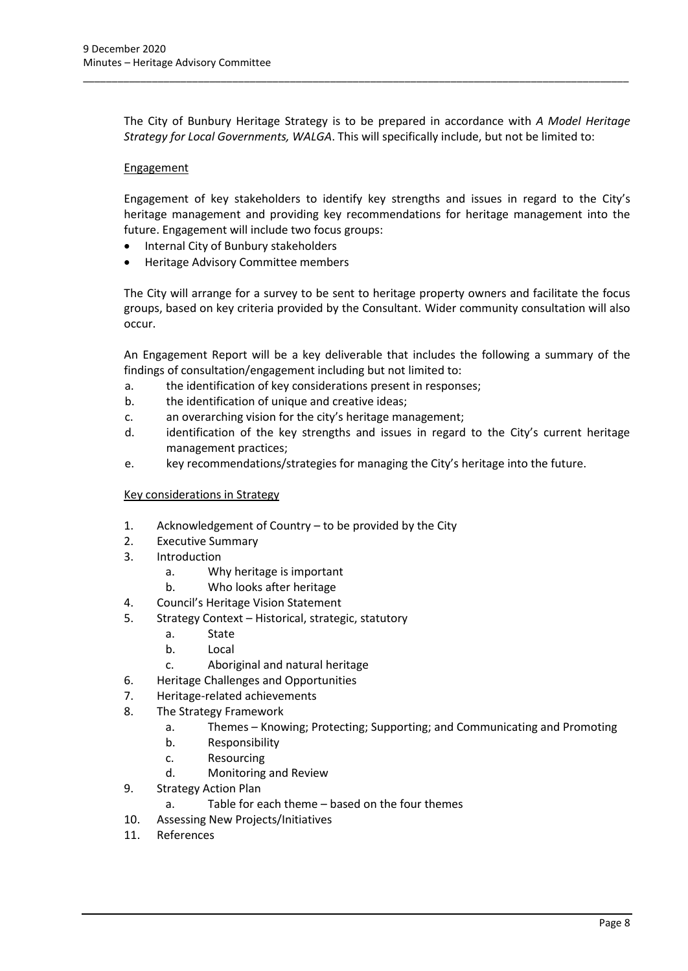The City of Bunbury Heritage Strategy is to be prepared in accordance with *A Model Heritage Strategy for Local Governments, WALGA*. This will specifically include, but not be limited to:

\_\_\_\_\_\_\_\_\_\_\_\_\_\_\_\_\_\_\_\_\_\_\_\_\_\_\_\_\_\_\_\_\_\_\_\_\_\_\_\_\_\_\_\_\_\_\_\_\_\_\_\_\_\_\_\_\_\_\_\_\_\_\_\_\_\_\_\_\_\_\_\_\_\_\_\_\_\_\_\_\_\_\_\_\_\_\_\_\_\_\_\_\_\_\_

#### **Engagement**

Engagement of key stakeholders to identify key strengths and issues in regard to the City's heritage management and providing key recommendations for heritage management into the future. Engagement will include two focus groups:

- Internal City of Bunbury stakeholders
- Heritage Advisory Committee members

The City will arrange for a survey to be sent to heritage property owners and facilitate the focus groups, based on key criteria provided by the Consultant. Wider community consultation will also occur.

An Engagement Report will be a key deliverable that includes the following a summary of the findings of consultation/engagement including but not limited to:

- a. the identification of key considerations present in responses;
- b. the identification of unique and creative ideas;
- c. an overarching vision for the city's heritage management;
- d. identification of the key strengths and issues in regard to the City's current heritage management practices;
- e. key recommendations/strategies for managing the City's heritage into the future.

#### Key considerations in Strategy

- 1. Acknowledgement of Country to be provided by the City
- 2. Executive Summary
- 3. Introduction
	- a. Why heritage is important
	- b. Who looks after heritage
- 4. Council's Heritage Vision Statement
- 5. Strategy Context Historical, strategic, statutory
	- a. State
	- b. Local
	- c. Aboriginal and natural heritage
- 6. Heritage Challenges and Opportunities
- 7. Heritage-related achievements
- 8. The Strategy Framework
	- a. Themes Knowing; Protecting; Supporting; and Communicating and Promoting
	- b. Responsibility
	- c. Resourcing
	- d. Monitoring and Review
- 9. Strategy Action Plan
	- a. Table for each theme based on the four themes
- 10. Assessing New Projects/Initiatives
- 11. References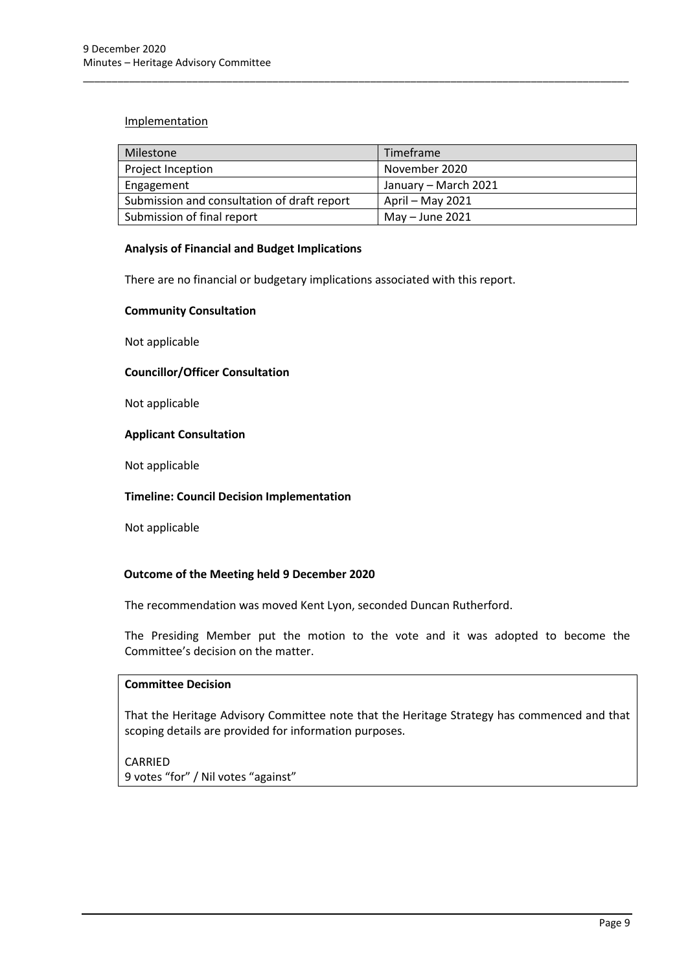#### Implementation

| Milestone                                   | Timeframe            |
|---------------------------------------------|----------------------|
| Project Inception                           | November 2020        |
| Engagement                                  | January – March 2021 |
| Submission and consultation of draft report | April – May 2021     |
| Submission of final report                  | May $-$ June 2021    |

\_\_\_\_\_\_\_\_\_\_\_\_\_\_\_\_\_\_\_\_\_\_\_\_\_\_\_\_\_\_\_\_\_\_\_\_\_\_\_\_\_\_\_\_\_\_\_\_\_\_\_\_\_\_\_\_\_\_\_\_\_\_\_\_\_\_\_\_\_\_\_\_\_\_\_\_\_\_\_\_\_\_\_\_\_\_\_\_\_\_\_\_\_\_\_

#### **Analysis of Financial and Budget Implications**

There are no financial or budgetary implications associated with this report.

#### **Community Consultation**

Not applicable

#### **Councillor/Officer Consultation**

Not applicable

#### **Applicant Consultation**

Not applicable

## **Timeline: Council Decision Implementation**

Not applicable

## **Outcome of the Meeting held 9 December 2020**

The recommendation was moved Kent Lyon, seconded Duncan Rutherford.

The Presiding Member put the motion to the vote and it was adopted to become the Committee's decision on the matter.

## **Committee Decision**

That the Heritage Advisory Committee note that the Heritage Strategy has commenced and that scoping details are provided for information purposes.

## CARRIED

9 votes "for" / Nil votes "against"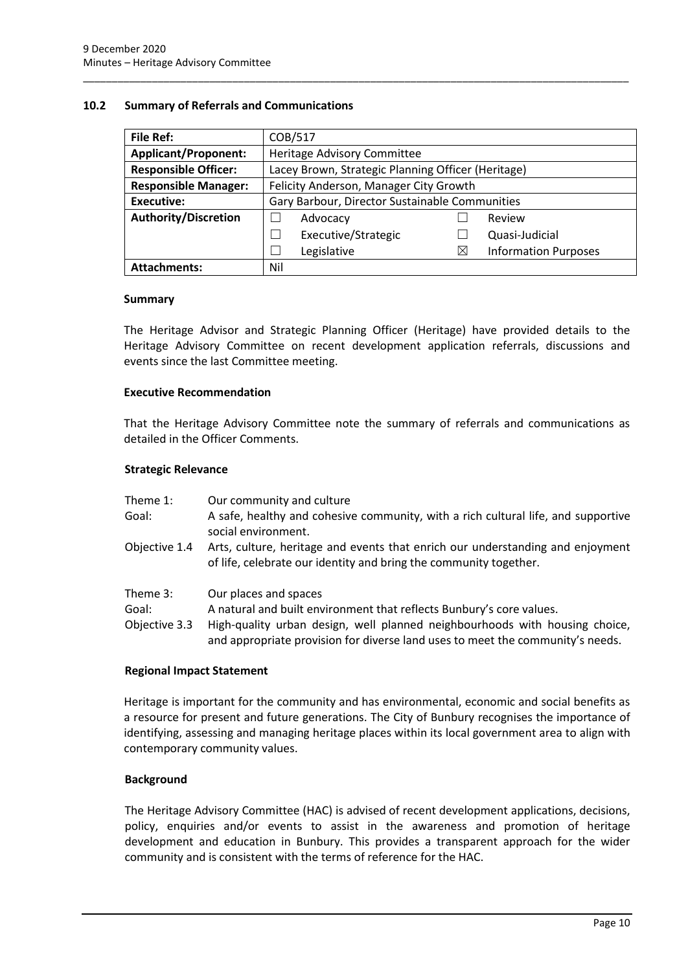#### <span id="page-10-0"></span>**10.2 Summary of Referrals and Communications**

| <b>File Ref:</b>                                                                  | COB/517                                        |    |                             |
|-----------------------------------------------------------------------------------|------------------------------------------------|----|-----------------------------|
| <b>Applicant/Proponent:</b>                                                       | Heritage Advisory Committee                    |    |                             |
| <b>Responsible Officer:</b><br>Lacey Brown, Strategic Planning Officer (Heritage) |                                                |    |                             |
| <b>Responsible Manager:</b>                                                       | Felicity Anderson, Manager City Growth         |    |                             |
| <b>Executive:</b>                                                                 | Gary Barbour, Director Sustainable Communities |    |                             |
| <b>Authority/Discretion</b>                                                       | Advocacy                                       |    | Review                      |
|                                                                                   | Executive/Strategic                            |    | Quasi-Judicial              |
|                                                                                   | Legislative                                    | IX | <b>Information Purposes</b> |
| <b>Attachments:</b>                                                               | Nil                                            |    |                             |

\_\_\_\_\_\_\_\_\_\_\_\_\_\_\_\_\_\_\_\_\_\_\_\_\_\_\_\_\_\_\_\_\_\_\_\_\_\_\_\_\_\_\_\_\_\_\_\_\_\_\_\_\_\_\_\_\_\_\_\_\_\_\_\_\_\_\_\_\_\_\_\_\_\_\_\_\_\_\_\_\_\_\_\_\_\_\_\_\_\_\_\_\_\_\_

#### **Summary**

The Heritage Advisor and Strategic Planning Officer (Heritage) have provided details to the Heritage Advisory Committee on recent development application referrals, discussions and events since the last Committee meeting.

#### **Executive Recommendation**

That the Heritage Advisory Committee note the summary of referrals and communications as detailed in the Officer Comments.

#### **Strategic Relevance**

| Theme 1:                           | Our community and culture                                                                                                                                                    |
|------------------------------------|------------------------------------------------------------------------------------------------------------------------------------------------------------------------------|
| Goal:                              | A safe, healthy and cohesive community, with a rich cultural life, and supportive<br>social environment.                                                                     |
| Objective 1.4                      | Arts, culture, heritage and events that enrich our understanding and enjoyment<br>of life, celebrate our identity and bring the community together.                          |
| Theme 3:<br>Goal:<br>Objective 3.3 | Our places and spaces<br>A natural and built environment that reflects Bunbury's core values.<br>High-quality urban design, well planned neighbourhoods with housing choice, |
|                                    | and appropriate provision for diverse land uses to meet the community's needs.                                                                                               |

#### **Regional Impact Statement**

Heritage is important for the community and has environmental, economic and social benefits as a resource for present and future generations. The City of Bunbury recognises the importance of identifying, assessing and managing heritage places within its local government area to align with contemporary community values.

#### **Background**

The Heritage Advisory Committee (HAC) is advised of recent development applications, decisions, policy, enquiries and/or events to assist in the awareness and promotion of heritage development and education in Bunbury. This provides a transparent approach for the wider community and is consistent with the terms of reference for the HAC.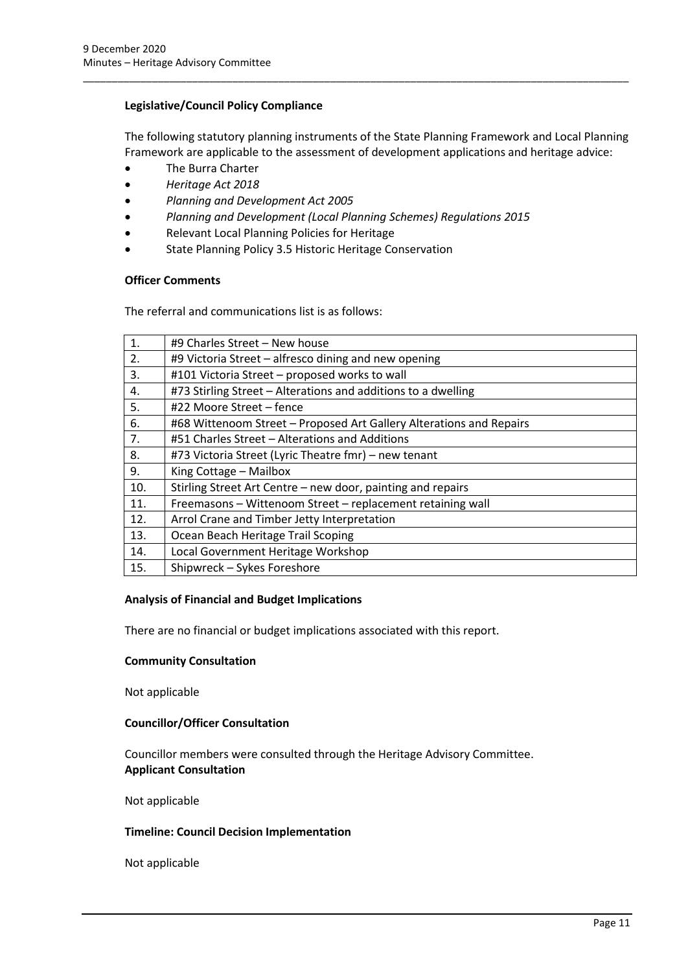#### **Legislative/Council Policy Compliance**

The following statutory planning instruments of the State Planning Framework and Local Planning Framework are applicable to the assessment of development applications and heritage advice:

\_\_\_\_\_\_\_\_\_\_\_\_\_\_\_\_\_\_\_\_\_\_\_\_\_\_\_\_\_\_\_\_\_\_\_\_\_\_\_\_\_\_\_\_\_\_\_\_\_\_\_\_\_\_\_\_\_\_\_\_\_\_\_\_\_\_\_\_\_\_\_\_\_\_\_\_\_\_\_\_\_\_\_\_\_\_\_\_\_\_\_\_\_\_\_

- The Burra Charter
- *Heritage Act 2018*
- *Planning and Development Act 2005*
- *Planning and Development (Local Planning Schemes) Regulations 2015*
- Relevant Local Planning Policies for Heritage
- State Planning Policy 3.5 Historic Heritage Conservation

#### **Officer Comments**

The referral and communications list is as follows:

| $\mathbf{1}$ . | #9 Charles Street - New house                                       |
|----------------|---------------------------------------------------------------------|
| 2.             | #9 Victoria Street - alfresco dining and new opening                |
| 3.             | #101 Victoria Street - proposed works to wall                       |
| 4.             | #73 Stirling Street - Alterations and additions to a dwelling       |
| 5.             | #22 Moore Street – fence                                            |
| 6.             | #68 Wittenoom Street – Proposed Art Gallery Alterations and Repairs |
| 7.             | #51 Charles Street - Alterations and Additions                      |
| 8.             | #73 Victoria Street (Lyric Theatre fmr) - new tenant                |
| 9.             | King Cottage - Mailbox                                              |
| 10.            | Stirling Street Art Centre - new door, painting and repairs         |
| 11.            | Freemasons - Wittenoom Street - replacement retaining wall          |
| 12.            | Arrol Crane and Timber Jetty Interpretation                         |
| 13.            | Ocean Beach Heritage Trail Scoping                                  |
| 14.            | Local Government Heritage Workshop                                  |
| 15.            | Shipwreck - Sykes Foreshore                                         |

#### **Analysis of Financial and Budget Implications**

There are no financial or budget implications associated with this report.

#### **Community Consultation**

Not applicable

#### **Councillor/Officer Consultation**

Councillor members were consulted through the Heritage Advisory Committee. **Applicant Consultation**

Not applicable

#### **Timeline: Council Decision Implementation**

Not applicable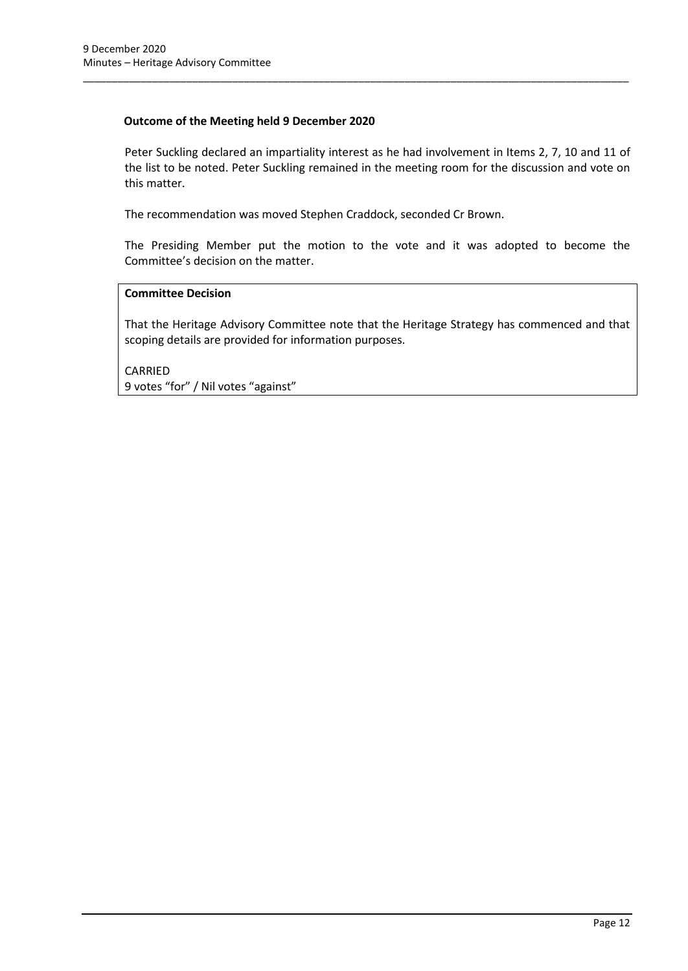#### **Outcome of the Meeting held 9 December 2020**

Peter Suckling declared an impartiality interest as he had involvement in Items 2, 7, 10 and 11 of the list to be noted. Peter Suckling remained in the meeting room for the discussion and vote on this matter.

\_\_\_\_\_\_\_\_\_\_\_\_\_\_\_\_\_\_\_\_\_\_\_\_\_\_\_\_\_\_\_\_\_\_\_\_\_\_\_\_\_\_\_\_\_\_\_\_\_\_\_\_\_\_\_\_\_\_\_\_\_\_\_\_\_\_\_\_\_\_\_\_\_\_\_\_\_\_\_\_\_\_\_\_\_\_\_\_\_\_\_\_\_\_\_

The recommendation was moved Stephen Craddock, seconded Cr Brown.

The Presiding Member put the motion to the vote and it was adopted to become the Committee's decision on the matter.

#### **Committee Decision**

That the Heritage Advisory Committee note that the Heritage Strategy has commenced and that scoping details are provided for information purposes.

CARRIED 9 votes "for" / Nil votes "against"